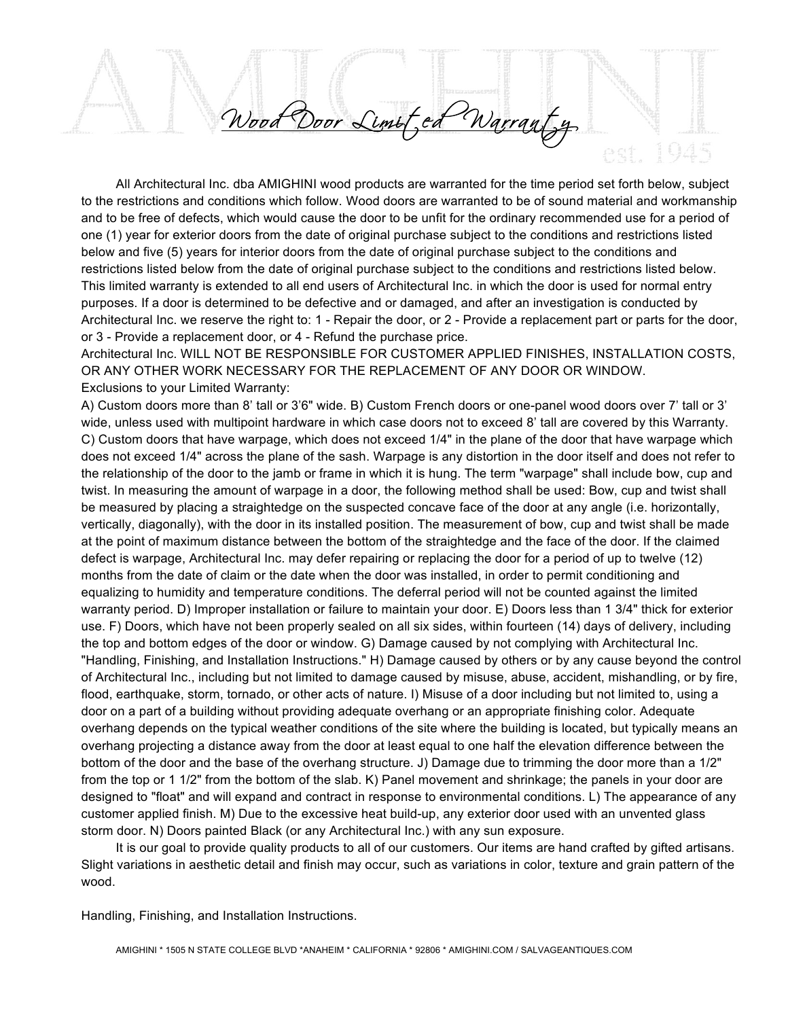Wood Door Limit, ed Warranty

All Architectural Inc. dba AMIGHINI wood products are warranted for the time period set forth below, subject to the restrictions and conditions which follow. Wood doors are warranted to be of sound material and workmanship and to be free of defects, which would cause the door to be unfit for the ordinary recommended use for a period of one (1) year for exterior doors from the date of original purchase subject to the conditions and restrictions listed below and five (5) years for interior doors from the date of original purchase subject to the conditions and restrictions listed below from the date of original purchase subject to the conditions and restrictions listed below. This limited warranty is extended to all end users of Architectural Inc. in which the door is used for normal entry purposes. If a door is determined to be defective and or damaged, and after an investigation is conducted by Architectural Inc. we reserve the right to: 1 - Repair the door, or 2 - Provide a replacement part or parts for the door, or 3 - Provide a replacement door, or 4 - Refund the purchase price.

Architectural Inc. WILL NOT BE RESPONSIBLE FOR CUSTOMER APPLIED FINISHES, INSTALLATION COSTS, OR ANY OTHER WORK NECESSARY FOR THE REPLACEMENT OF ANY DOOR OR WINDOW. Exclusions to your Limited Warranty:

A) Custom doors more than 8' tall or 3'6" wide. B) Custom French doors or one-panel wood doors over 7' tall or 3' wide, unless used with multipoint hardware in which case doors not to exceed 8' tall are covered by this Warranty. C) Custom doors that have warpage, which does not exceed 1/4" in the plane of the door that have warpage which does not exceed 1/4" across the plane of the sash. Warpage is any distortion in the door itself and does not refer to the relationship of the door to the jamb or frame in which it is hung. The term "warpage" shall include bow, cup and twist. In measuring the amount of warpage in a door, the following method shall be used: Bow, cup and twist shall be measured by placing a straightedge on the suspected concave face of the door at any angle (i.e. horizontally, vertically, diagonally), with the door in its installed position. The measurement of bow, cup and twist shall be made at the point of maximum distance between the bottom of the straightedge and the face of the door. If the claimed defect is warpage, Architectural Inc. may defer repairing or replacing the door for a period of up to twelve (12) months from the date of claim or the date when the door was installed, in order to permit conditioning and equalizing to humidity and temperature conditions. The deferral period will not be counted against the limited warranty period. D) Improper installation or failure to maintain your door. E) Doors less than 1 3/4" thick for exterior use. F) Doors, which have not been properly sealed on all six sides, within fourteen (14) days of delivery, including the top and bottom edges of the door or window. G) Damage caused by not complying with Architectural Inc. "Handling, Finishing, and Installation Instructions." H) Damage caused by others or by any cause beyond the control of Architectural Inc., including but not limited to damage caused by misuse, abuse, accident, mishandling, or by fire, flood, earthquake, storm, tornado, or other acts of nature. I) Misuse of a door including but not limited to, using a door on a part of a building without providing adequate overhang or an appropriate finishing color. Adequate overhang depends on the typical weather conditions of the site where the building is located, but typically means an overhang projecting a distance away from the door at least equal to one half the elevation difference between the bottom of the door and the base of the overhang structure. J) Damage due to trimming the door more than a 1/2" from the top or 1 1/2" from the bottom of the slab. K) Panel movement and shrinkage; the panels in your door are designed to "float" and will expand and contract in response to environmental conditions. L) The appearance of any customer applied finish. M) Due to the excessive heat build-up, any exterior door used with an unvented glass storm door. N) Doors painted Black (or any Architectural Inc.) with any sun exposure.

It is our goal to provide quality products to all of our customers. Our items are hand crafted by gifted artisans. Slight variations in aesthetic detail and finish may occur, such as variations in color, texture and grain pattern of the wood.

Handling, Finishing, and Installation Instructions.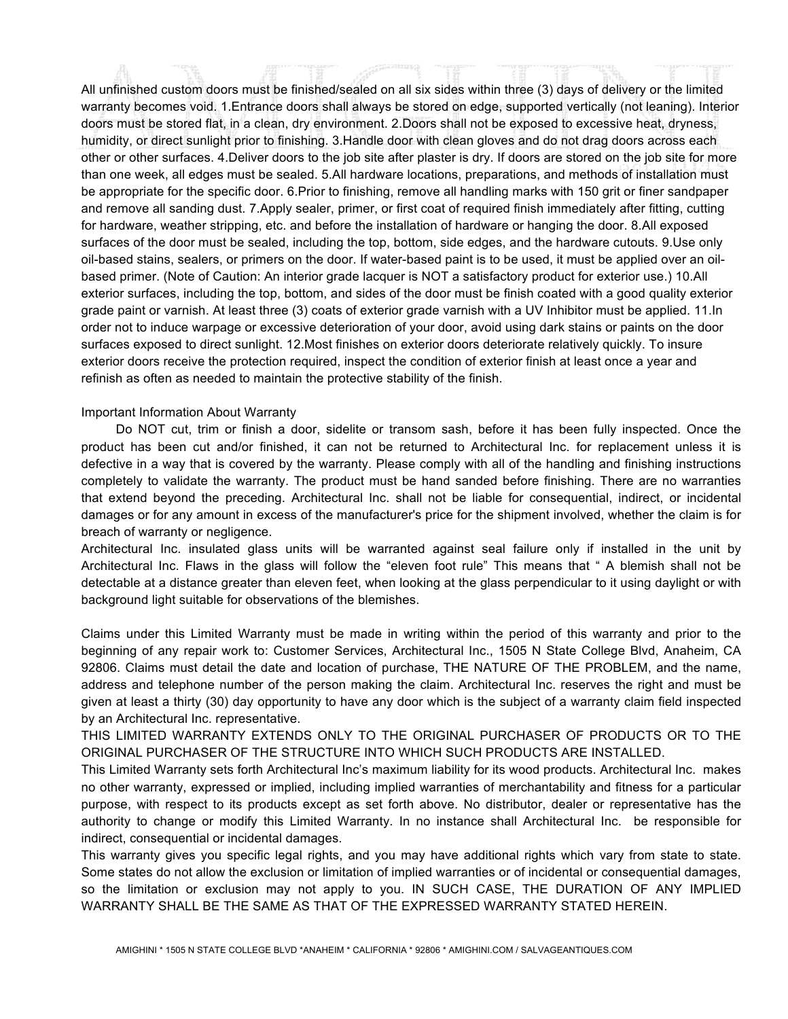All unfinished custom doors must be finished/sealed on all six sides within three (3) days of delivery or the limited warranty becomes void. 1.Entrance doors shall always be stored on edge, supported vertically (not leaning). Interior doors must be stored flat, in a clean, dry environment. 2.Doors shall not be exposed to excessive heat, dryness, humidity, or direct sunlight prior to finishing. 3.Handle door with clean gloves and do not drag doors across each other or other surfaces. 4.Deliver doors to the job site after plaster is dry. If doors are stored on the job site for more than one week, all edges must be sealed. 5.All hardware locations, preparations, and methods of installation must be appropriate for the specific door. 6.Prior to finishing, remove all handling marks with 150 grit or finer sandpaper and remove all sanding dust. 7.Apply sealer, primer, or first coat of required finish immediately after fitting, cutting for hardware, weather stripping, etc. and before the installation of hardware or hanging the door. 8.All exposed surfaces of the door must be sealed, including the top, bottom, side edges, and the hardware cutouts. 9.Use only oil-based stains, sealers, or primers on the door. If water-based paint is to be used, it must be applied over an oilbased primer. (Note of Caution: An interior grade lacquer is NOT a satisfactory product for exterior use.) 10.All exterior surfaces, including the top, bottom, and sides of the door must be finish coated with a good quality exterior grade paint or varnish. At least three (3) coats of exterior grade varnish with a UV Inhibitor must be applied. 11.In order not to induce warpage or excessive deterioration of your door, avoid using dark stains or paints on the door surfaces exposed to direct sunlight. 12.Most finishes on exterior doors deteriorate relatively quickly. To insure exterior doors receive the protection required, inspect the condition of exterior finish at least once a year and refinish as often as needed to maintain the protective stability of the finish.

## Important Information About Warranty

Do NOT cut, trim or finish a door, sidelite or transom sash, before it has been fully inspected. Once the product has been cut and/or finished, it can not be returned to Architectural Inc. for replacement unless it is defective in a way that is covered by the warranty. Please comply with all of the handling and finishing instructions completely to validate the warranty. The product must be hand sanded before finishing. There are no warranties that extend beyond the preceding. Architectural Inc. shall not be liable for consequential, indirect, or incidental damages or for any amount in excess of the manufacturer's price for the shipment involved, whether the claim is for breach of warranty or negligence.

Architectural Inc. insulated glass units will be warranted against seal failure only if installed in the unit by Architectural Inc. Flaws in the glass will follow the "eleven foot rule" This means that " A blemish shall not be detectable at a distance greater than eleven feet, when looking at the glass perpendicular to it using daylight or with background light suitable for observations of the blemishes.

Claims under this Limited Warranty must be made in writing within the period of this warranty and prior to the beginning of any repair work to: Customer Services, Architectural Inc., 1505 N State College Blvd, Anaheim, CA 92806. Claims must detail the date and location of purchase, THE NATURE OF THE PROBLEM, and the name, address and telephone number of the person making the claim. Architectural Inc. reserves the right and must be given at least a thirty (30) day opportunity to have any door which is the subject of a warranty claim field inspected by an Architectural Inc. representative.

THIS LIMITED WARRANTY EXTENDS ONLY TO THE ORIGINAL PURCHASER OF PRODUCTS OR TO THE ORIGINAL PURCHASER OF THE STRUCTURE INTO WHICH SUCH PRODUCTS ARE INSTALLED.

This Limited Warranty sets forth Architectural Inc's maximum liability for its wood products. Architectural Inc. makes no other warranty, expressed or implied, including implied warranties of merchantability and fitness for a particular purpose, with respect to its products except as set forth above. No distributor, dealer or representative has the authority to change or modify this Limited Warranty. In no instance shall Architectural Inc. be responsible for indirect, consequential or incidental damages.

This warranty gives you specific legal rights, and you may have additional rights which vary from state to state. Some states do not allow the exclusion or limitation of implied warranties or of incidental or consequential damages, so the limitation or exclusion may not apply to you. IN SUCH CASE, THE DURATION OF ANY IMPLIED WARRANTY SHALL BE THE SAME AS THAT OF THE EXPRESSED WARRANTY STATED HEREIN.